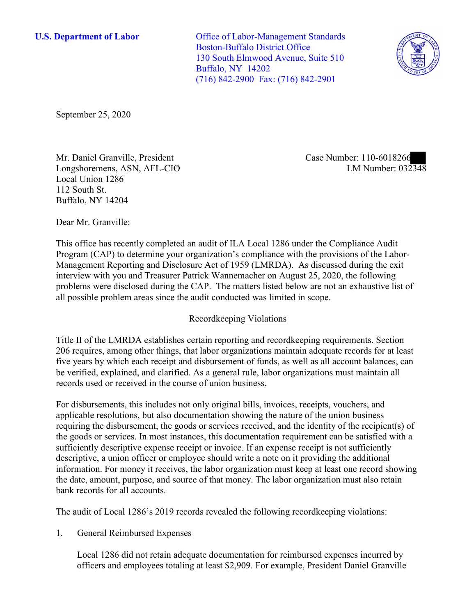**U.S. Department of Labor** Office of Labor-Management Standards Boston-Buffalo District Office 130 South Elmwood Avenue, Suite 510 Buffalo, NY 14202 (716) 842-2900 Fax: (716) 842-2901



September 25, 2020

Mr. Daniel Granville, President Longshoremens, ASN, AFL-CIO Local Union 1286 112 South St. Buffalo, NY 14204

Case Number: 110-6018266 LM Number: 032348

Dear Mr. Granville:

This office has recently completed an audit of ILA Local 1286 under the Compliance Audit Program (CAP) to determine your organization's compliance with the provisions of the Labor-Management Reporting and Disclosure Act of 1959 (LMRDA). As discussed during the exit interview with you and Treasurer Patrick Wannemacher on August 25, 2020, the following problems were disclosed during the CAP. The matters listed below are not an exhaustive list of all possible problem areas since the audit conducted was limited in scope.

# Recordkeeping Violations

Title II of the LMRDA establishes certain reporting and recordkeeping requirements. Section 206 requires, among other things, that labor organizations maintain adequate records for at least five years by which each receipt and disbursement of funds, as well as all account balances, can be verified, explained, and clarified. As a general rule, labor organizations must maintain all records used or received in the course of union business.

For disbursements, this includes not only original bills, invoices, receipts, vouchers, and applicable resolutions, but also documentation showing the nature of the union business requiring the disbursement, the goods or services received, and the identity of the recipient(s) of the goods or services. In most instances, this documentation requirement can be satisfied with a sufficiently descriptive expense receipt or invoice. If an expense receipt is not sufficiently descriptive, a union officer or employee should write a note on it providing the additional information. For money it receives, the labor organization must keep at least one record showing the date, amount, purpose, and source of that money. The labor organization must also retain bank records for all accounts.

The audit of Local 1286's 2019 records revealed the following recordkeeping violations:

1. General Reimbursed Expenses

Local 1286 did not retain adequate documentation for reimbursed expenses incurred by officers and employees totaling at least \$2,909. For example, President Daniel Granville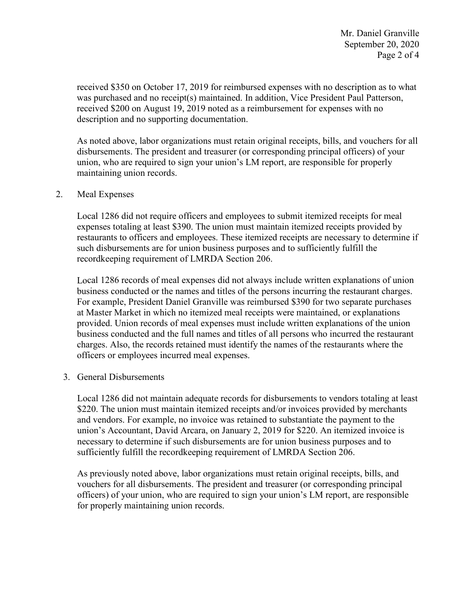received \$350 on October 17, 2019 for reimbursed expenses with no description as to what was purchased and no receipt(s) maintained. In addition, Vice President Paul Patterson, received \$200 on August 19, 2019 noted as a reimbursement for expenses with no description and no supporting documentation.

As noted above, labor organizations must retain original receipts, bills, and vouchers for all disbursements. The president and treasurer (or corresponding principal officers) of your union, who are required to sign your union's LM report, are responsible for properly maintaining union records.

## 2. Meal Expenses

Local 1286 did not require officers and employees to submit itemized receipts for meal expenses totaling at least \$390. The union must maintain itemized receipts provided by restaurants to officers and employees. These itemized receipts are necessary to determine if such disbursements are for union business purposes and to sufficiently fulfill the recordkeeping requirement of LMRDA Section 206.

Local 1286 records of meal expenses did not always include written explanations of union business conducted or the names and titles of the persons incurring the restaurant charges. For example, President Daniel Granville was reimbursed \$390 for two separate purchases at Master Market in which no itemized meal receipts were maintained, or explanations provided. Union records of meal expenses must include written explanations of the union business conducted and the full names and titles of all persons who incurred the restaurant charges. Also, the records retained must identify the names of the restaurants where the officers or employees incurred meal expenses.

## 3. General Disbursements

Local 1286 did not maintain adequate records for disbursements to vendors totaling at least \$220. The union must maintain itemized receipts and/or invoices provided by merchants and vendors. For example, no invoice was retained to substantiate the payment to the union's Accountant, David Arcara, on January 2, 2019 for \$220. An itemized invoice is necessary to determine if such disbursements are for union business purposes and to sufficiently fulfill the recordkeeping requirement of LMRDA Section 206.

As previously noted above, labor organizations must retain original receipts, bills, and vouchers for all disbursements. The president and treasurer (or corresponding principal officers) of your union, who are required to sign your union's LM report, are responsible for properly maintaining union records.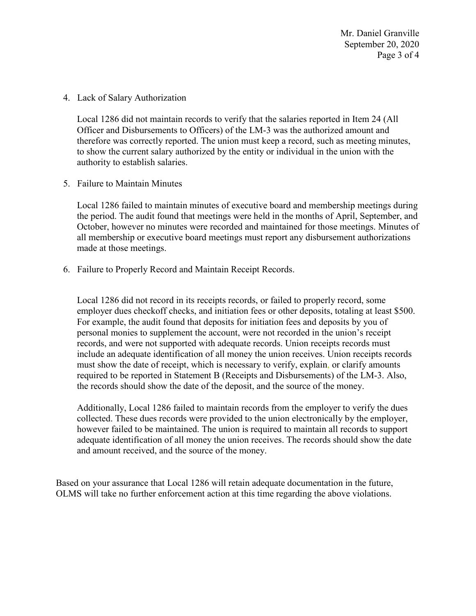Mr. Daniel Granville September 20, 2020 Page 3 of 4

4. Lack of Salary Authorization

Local 1286 did not maintain records to verify that the salaries reported in Item 24 (All Officer and Disbursements to Officers) of the LM-3 was the authorized amount and therefore was correctly reported. The union must keep a record, such as meeting minutes, to show the current salary authorized by the entity or individual in the union with the authority to establish salaries.

5. Failure to Maintain Minutes

Local 1286 failed to maintain minutes of executive board and membership meetings during the period. The audit found that meetings were held in the months of April, September, and October, however no minutes were recorded and maintained for those meetings. Minutes of all membership or executive board meetings must report any disbursement authorizations made at those meetings.

6. Failure to Properly Record and Maintain Receipt Records.

Local 1286 did not record in its receipts records, or failed to properly record, some employer dues checkoff checks, and initiation fees or other deposits, totaling at least \$500. For example, the audit found that deposits for initiation fees and deposits by you of personal monies to supplement the account, were not recorded in the union's receipt records, and were not supported with adequate records. Union receipts records must include an adequate identification of all money the union receives. Union receipts records must show the date of receipt, which is necessary to verify, explain, or clarify amounts required to be reported in Statement B (Receipts and Disbursements) of the LM-3. Also, the records should show the date of the deposit, and the source of the money.

Additionally, Local 1286 failed to maintain records from the employer to verify the dues collected. These dues records were provided to the union electronically by the employer, however failed to be maintained. The union is required to maintain all records to support adequate identification of all money the union receives. The records should show the date and amount received, and the source of the money.

Based on your assurance that Local 1286 will retain adequate documentation in the future, OLMS will take no further enforcement action at this time regarding the above violations.